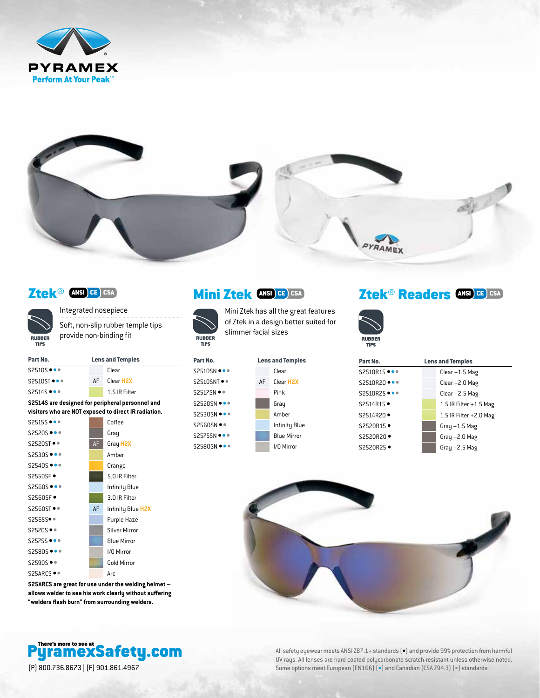



## Ztek® ANSI CE CSA



Integrated nosepiece Soft, non-slip rubber temple tips provide non-binding fit

| Part No.                         | <b>Lens and Temples</b> |                       |  |
|----------------------------------|-------------------------|-----------------------|--|
| $S2510S \bullet \bullet \bullet$ |                         | Clear                 |  |
| $S2510ST$ $\bullet$ $\bullet$    | ΔF                      | Clear H <sub>2X</sub> |  |
| $S2514S$ $\bullet$ $\bullet$     |                         | 1.5 IR Filter         |  |

**S2514S are designed for peripheral personnel and visitors who are NOT exposed to direct IR radiation.**



**S25ARCS are great for use under the welding helmet – allows welder to see his work clearly without suffering "welders flash burn" from surrounding welders.**



## Mini Ztek **ANSI CE CSA**

S25

**RUBBER** 

**TIPS** 

Mini Ztek has all the great features of Ztek in a design better suited for slimmer facial sizes

| Part No.                           | <b>Lens and Temples</b> |                       |  |
|------------------------------------|-------------------------|-----------------------|--|
| $S2510SN \bullet \bullet \bullet$  |                         | Clear                 |  |
| S2510SNT ● ●                       | AF                      | Clear H <sub>2X</sub> |  |
| S2517SN ●●                         |                         | Pink                  |  |
| <b>S2520SN •••</b>                 |                         | Gray                  |  |
| $S2530SN \bullet \bullet \bullet$  |                         | Amber                 |  |
| S2560SN ● ●                        |                         | Infinity Blue         |  |
| <b>S2575SN •••</b>                 |                         | <b>Blue Mirror</b>    |  |
| $S2580$ SN $\bullet\bullet\bullet$ |                         | I/O Mirror            |  |

# Ztek<sup>®</sup> Readers **ANSI CE** CSA



| Part No.     | <b>Lens and Temples</b>  |  |
|--------------|--------------------------|--|
| S2510R15 ••• | $Clear + 1.5$ Mag        |  |
| S2510R20 ••• | $Clear + 2.0$ Mag        |  |
| S2510R25 ••• | $Clear + 2.5$ Mag        |  |
| S2514R15 ·   | 1.5 IR Filter $+1.5$ Mag |  |
| S2514R20 ·   | 1.5 IR Filter $+2.0$ Mag |  |
| S2520R15 ·   | Gray $+1.5$ Mag          |  |
| S2520R20 ·   | Gray $+2.0$ Mag          |  |
| S2520R25 ●   | Gray $+2.5$ Mag          |  |



All safety eyewear meets ANSI Z87.1+ standards  $\left(\bullet\right)$  and provide 99% protection from harmful UV rays. All lenses are hard coated polycarbonate scratch-resistant unless otherwise noted. (P) 800.736.8673 | (F) 901.861.4967 Some options meet European (EN166) (•) and Canadian (CSA Z94.3) (•) standards.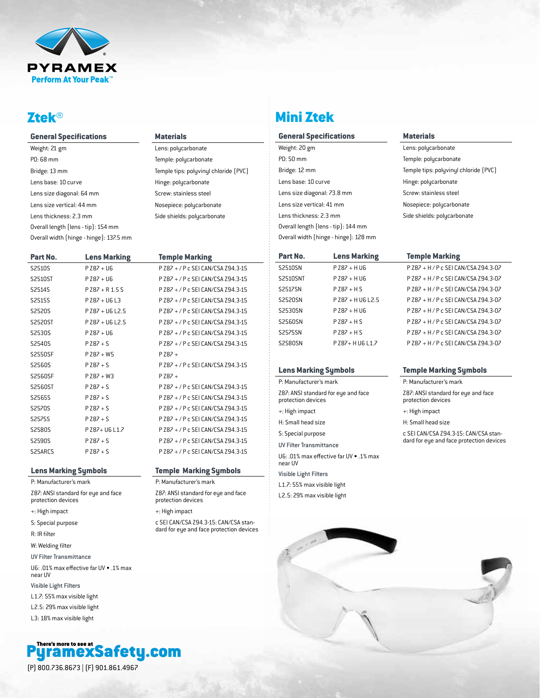

## Ztek®

| <b>General Specifications</b>           |
|-----------------------------------------|
| Weight: 21 gm                           |
| PD: 68 mm                               |
| Bridge: 13 mm                           |
| Lens base: 10 curve                     |
| Lens size diagonal: 64 mm               |
| Lens size vertical: 44 mm               |
| Lens thickness: 2.3 mm                  |
| Overall length (lens - tip): 154 mm     |
| Overall width (hinge - hinge): 137.5 mm |

| Part No. | <b>Lens Marking</b> | <b>Temple Marking</b>              |
|----------|---------------------|------------------------------------|
| S2510S   | $P Z87 + U6$        | P Z87 + / P c SEI CAN/CSA Z94.3-15 |
| S2510ST  | $P Z87 + U6$        | P Z87 + / P c SEI CAN/CSA Z94.3-15 |
| S2514S   | $P Z87 + R 1.5 S$   | P Z87 + / P c SEI CAN/CSA Z94.3-15 |
| S2515S   | $P Z87 + U6L3$      | P Z87 + / P c SEI CAN/CSA Z94.3-15 |
| S2520S   | P Z87 + U6 L2.5     | P Z87 + / P c SEI CAN/CSA Z94.3-15 |
| S2520ST  | $P$ Z87 + U6 L2.5   | P Z87 + / P c SEI CAN/CSA Z94.3-15 |
| S2530S   | $P Z87 + U6$        | P Z87 + / P c SEI CAN/CSA Z94.3-15 |
| S2540S   | $PZ87 + S$          | P Z87 + / P c SEI CAN/CSA Z94.3-15 |
| S2550SF  | $P Z87 + W5$        | $PZ87+$                            |
| S2560S   | $PZ87 + S$          | P Z87 + / P c SEI CAN/CSA Z94.3-15 |
| S2560SF  | $P Z87 + W3$        | $P$ Z87 +                          |
| S2560ST  | $PZ87 + S$          | P Z87 + / P c SEI CAN/CSA Z94.3-15 |
| S2565S   | $PZ87 + S$          | P Z87 + / P c SEI CAN/CSA Z94.3-15 |
| S2570S   | $PZ87 + S$          | P Z87 + / P c SEI CAN/CSA Z94.3-15 |
| S2575S   | $PZ87 + S$          | P Z87 + / P c SEI CAN/CSA Z94.3-15 |
| S2580S   | P Z87+ U6 L1.7      | P Z87 + / P c SEI CAN/CSA Z94.3-15 |
| S2590S   | $PZ87 + S$          | P Z87 + / P c SEI CAN/CSA Z94.3-15 |
| S25ARCS  | $PZ87 + S$          | P Z87 + / P c SEI CAN/CSA Z94.3-15 |

**Materials** Lens: polycarbonate Temple: polycarbonate

Hinge: polycarbonate Screw: stainless steel Nosepiece: polycarbonate Side shields: polycarbonate

Temple tips: polyvinyl chloride (PVC)

**Temple Marking Symbols** P: Manufacturer's mark

Z87: ANSI standard for eye and face

c SEI CAN/CSA Z94.3-15: CAN/CSA standard for eye and face protection devices

protection devices +: High impact

#### **Lens Marking Symbols**

P: Manufacturer's mark

Z87: ANSI standard for eye and face protection devices

+: High impact

S: Special purpose

R: IR filter

W: Welding filter

UV Filter Transmittance

U6: .01% max effective far UV • .1% max near UV

Visible Light Filters

L1.7: 55% max visible light

L2.5: 29% max visible light

L3: 18% max visible light



| <b>Mini Zt</b> | GK |  |
|----------------|----|--|
|                |    |  |

#### **General Specifications**

Weight: 20 gm PD: 50 mm Bridge: 12 mm Lens base: 10 curve Lens size diagonal: 73.8 mm Lens size vertical: 41 mm Lens thickness: 2.3 mm Overall length (lens - tip): 144 mm Overall width (hinge - hinge): 128 mm

#### **Materials**

Lens: polycarbonate Temple: polycarbonate Temple tips: polyvinyl chloride (PVC) Hinge: polycarbonate Screw: stainless steel Nosepiece: polycarbonate Side shields: polycarbonate

## **Part No. Lens Marking Temple Marking** S2510SN P Z87 + H U6 P Z87 + H / P c SEI CAN/CSA Z94.3-07 S2510SNT P Z87 + H U6 P Z87 + H / P c SEI CAN/CSA Z94.3-07 S2517SN P Z87 + H S P Z87 + H / P c SEI CAN/CSA Z94.3-07 S2520SN P Z87 + H U6 L2.5 P Z87 + H / P c SEI CAN/CSA Z94.3-07 S2530SN P Z87 + H U6 P Z87 + H / P c SEI CAN/CSA Z94.3-07 S2560SN P Z87 + H S P Z87 + H / P c SEI CAN/CSA Z94.3-07 S2575SN P Z87 + H S P Z87 + H / P c SEI CAN/CSA Z94.3-07 S2580SN P Z87+ H U6 L1.7 P Z87 + H / P c SEI CAN/CSA Z94.3-07

#### **Lens Marking Symbols**

P: Manufacturer's mark Z87: ANSI standard for eye and face protection devices +: High impact H: Small head size S: Special purpose UV Filter Transmittance U6: .01% max effective far UV • .1% max near UV Visible Light Filters

L1.7: 55% max visible light L2.5: 29% max visible light



P: Manufacturer's mark

Z87: ANSI standard for eye and face protection devices

+: High impact

H: Small head size

c SEI CAN/CSA Z94.3-15: CAN/CSA standard for eye and face protection devices